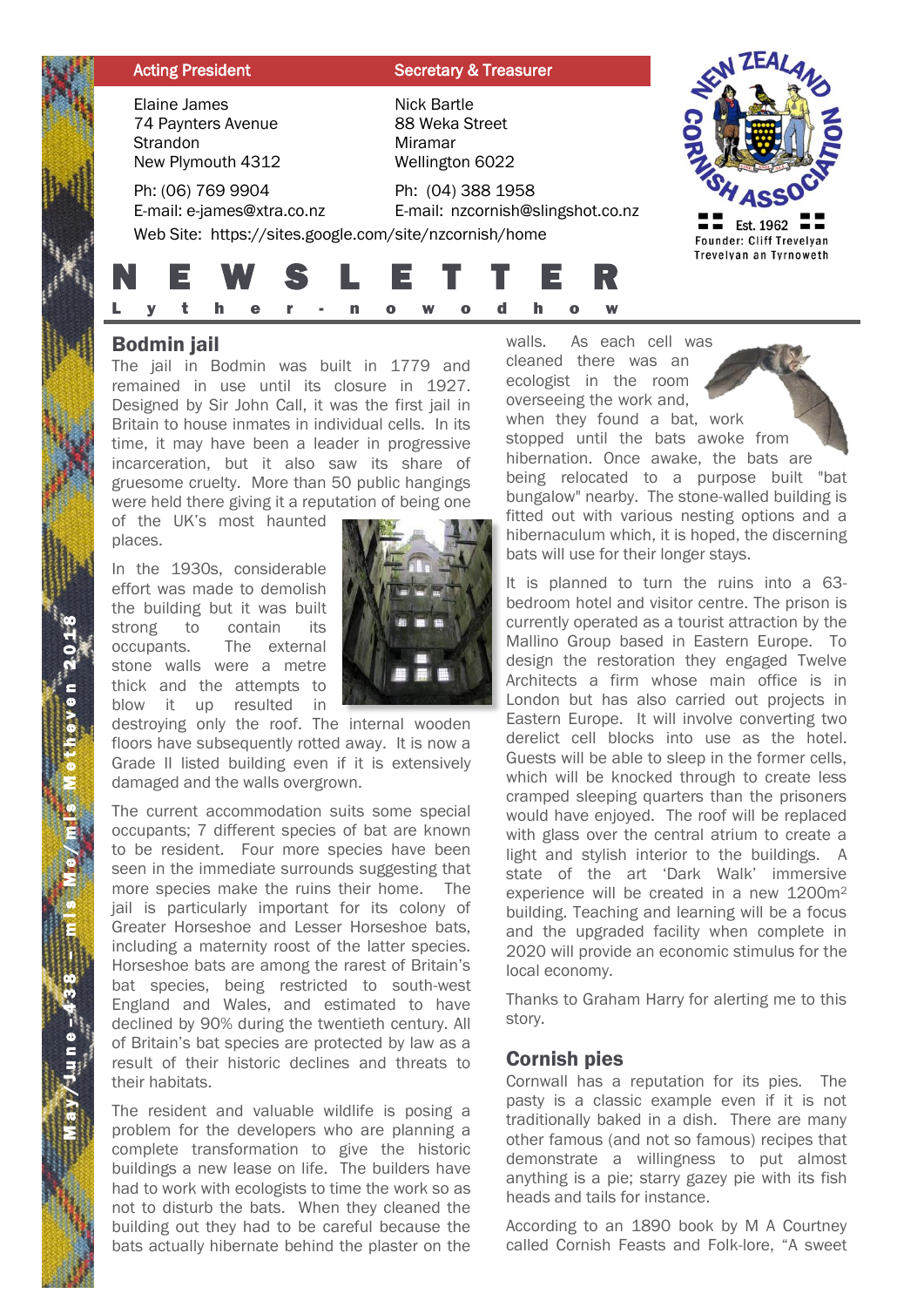| <b>Acting President</b>                                                                                   | <b>Secretary &amp; Treasurer</b>                                                                                                                                                                                                  |                                                      |
|-----------------------------------------------------------------------------------------------------------|-----------------------------------------------------------------------------------------------------------------------------------------------------------------------------------------------------------------------------------|------------------------------------------------------|
| Elaine James<br>74 Paynters Avenue<br>Strandon<br>New Plymouth 4312                                       | Nick Bartle<br>88 Weka Street<br>Miramar<br>Wellington 6022                                                                                                                                                                       |                                                      |
| Ph: (06) 769 9904<br>E-mail: e-james@xtra.co.nz<br>Web Site: https://sites.google.com/site/nzcornish/home | Ph: (04) 388 1958<br>E-mail: nzcornish@slingshot.co.nz                                                                                                                                                                            | Est. 1962 $\blacksquare$<br>Founder: Cliff Trevelyan |
| E W S                                                                                                     | E I I<br>E<br>h                                                                                                                                                                                                                   | Trevelyan an Tyrnoweth                               |
|                                                                                                           | $\mathbf{r}$ . The contract of the contract of the contract of the contract of the contract of the contract of the contract of the contract of the contract of the contract of the contract of the contract of the contract of th |                                                      |

## Bodmin jail

The jail in Bodmin was built in 1779 and remained in use until its closure in 1927. Designed by Sir John Call, it was the first jail in Britain to house inmates in individual cells. In its time, it may have been a leader in progressive incarceration, but it also saw its share of gruesome cruelty. More than 50 public hangings were held there giving it a reputation of being one

of the UK's most haunted places.

In the 1930s, considerable effort was made to demolish the building but it was built strong to contain its occupants. The external stone walls were a metre thick and the attempts to blow it up resulted in

destroying only the roof. The internal wooden floors have subsequently rotted away. It is now a Grade II listed building even if it is extensively damaged and the walls overgrown.

The current accommodation suits some special occupants; 7 different species of bat are known to be resident. Four more species have been seen in the immediate surrounds suggesting that more species make the ruins their home. The jail is particularly important for its colony of Greater Horseshoe and Lesser Horseshoe bats, including a maternity roost of the latter species. Horseshoe bats are among the rarest of Britain's bat species, being restricted to south-west England and Wales, and estimated to have declined by 90% during the twentieth century. All of Britain's bat species are protected by law as a result of their historic declines and threats to their habitats.

The resident and valuable wildlife is posing a problem for the developers who are planning a complete transformation to give the historic buildings a new lease on life. The builders have had to work with ecologists to time the work so as not to disturb the bats. When they cleaned the building out they had to be careful because the bats actually hibernate behind the plaster on the

walls. As each cell was cleaned there was an ecologist in the room overseeing the work and, when they found a bat, work stopped until the bats awoke from hibernation. Once awake, the bats are

being relocated to a purpose built "bat bungalow" nearby. The stone-walled building is fitted out with various nesting options and a hibernaculum which, it is hoped, the discerning bats will use for their longer stays.

It is planned to turn the ruins into a 63 bedroom hotel and visitor centre. The prison is currently operated as a tourist attraction by the Mallino Group based in Eastern Europe. To design the restoration they engaged Twelve Architects a firm whose main office is in London but has also carried out projects in Eastern Europe. It will involve converting two derelict cell blocks into use as the hotel. Guests will be able to sleep in the former cells, which will be knocked through to create less cramped sleeping quarters than the prisoners would have enjoyed. The roof will be replaced with glass over the central atrium to create a light and stylish interior to the buildings. A state of the art 'Dark Walk' immersive experience will be created in a new 1200m<sup>2</sup> building. Teaching and learning will be a focus and the upgraded facility when complete in 2020 will provide an economic stimulus for the local economy.

Thanks to Graham Harry for alerting me to this story.

### Cornish pies

Cornwall has a reputation for its pies. The pasty is a classic example even if it is not traditionally baked in a dish. There are many other famous (and not so famous) recipes that demonstrate a willingness to put almost anything is a pie; starry gazey pie with its fish heads and tails for instance.

According to an 1890 book by M A Courtney called Cornish Feasts and Folk-lore, "A sweet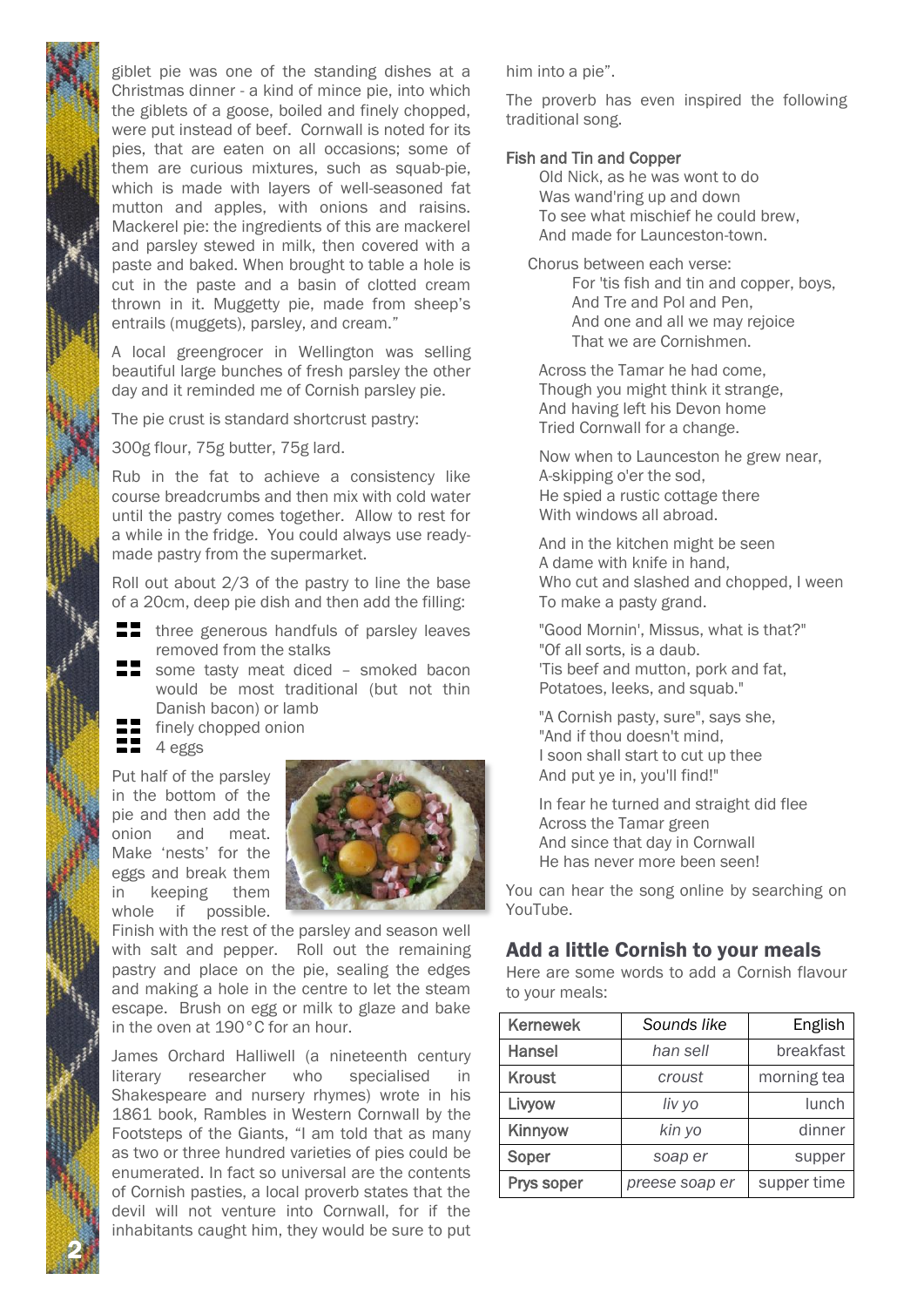giblet pie was one of the standing dishes at a Christmas dinner - a kind of mince pie, into which the giblets of a goose, boiled and finely chopped, were put instead of beef. Cornwall is noted for its pies, that are eaten on all occasions; some of them are curious mixtures, such as squab-pie, which is made with layers of well-seasoned fat mutton and apples, with onions and raisins. Mackerel pie: the ingredients of this are mackerel and parsley stewed in milk, then covered with a paste and baked. When brought to table a hole is cut in the paste and a basin of clotted cream thrown in it. Muggetty pie, made from sheep's entrails (muggets), parsley, and cream."

A local greengrocer in Wellington was selling beautiful large bunches of fresh parsley the other day and it reminded me of Cornish parsley pie.

The pie crust is standard shortcrust pastry:

300g flour, 75g butter, 75g lard.

Rub in the fat to achieve a consistency like course breadcrumbs and then mix with cold water until the pastry comes together. Allow to rest for a while in the fridge. You could always use readymade pastry from the supermarket.

Roll out about 2/3 of the pastry to line the base of a 20cm, deep pie dish and then add the filling:

- $\blacksquare$  three generous handfuls of parsley leaves removed from the stalks
- some tasty meat diced smoked bacon would be most traditional (but not thin Danish bacon) or lamb
	- finely chopped onion
- $\blacksquare$  4 eggs

2 N

Put half of the parsley in the bottom of the pie and then add the onion and meat. Make 'nests' for the eggs and break them in keeping them whole if possible.



Finish with the rest of the parsley and season well with salt and pepper. Roll out the remaining pastry and place on the pie, sealing the edges and making a hole in the centre to let the steam escape. Brush on egg or milk to glaze and bake in the oven at 190°C for an hour.

James Orchard Halliwell (a nineteenth century literary researcher who specialised in Shakespeare and nursery rhymes) wrote in his 1861 book, Rambles in Western Cornwall by the Footsteps of the Giants, "I am told that as many as two or three hundred varieties of pies could be enumerated. In fact so universal are the contents of Cornish pasties, a local proverb states that the devil will not venture into Cornwall, for if the inhabitants caught him, they would be sure to put

him into a pie".

The proverb has even inspired the following traditional song.

#### Fish and Tin and Copper

Old Nick, as he was wont to do Was wand'ring up and down To see what mischief he could brew, And made for Launceston-town.

Chorus between each verse: For 'tis fish and tin and copper, boys, And Tre and Pol and Pen, And one and all we may rejoice That we are Cornishmen.

Across the Tamar he had come, Though you might think it strange, And having left his Devon home Tried Cornwall for a change.

Now when to Launceston he grew near, A-skipping o'er the sod, He spied a rustic cottage there With windows all abroad.

And in the kitchen might be seen A dame with knife in hand, Who cut and slashed and chopped, I ween To make a pasty grand.

"Good Mornin', Missus, what is that?" "Of all sorts, is a daub. 'Tis beef and mutton, pork and fat, Potatoes, leeks, and squab."

"A Cornish pasty, sure", says she, "And if thou doesn't mind, I soon shall start to cut up thee And put ye in, you'll find!"

In fear he turned and straight did flee Across the Tamar green And since that day in Cornwall He has never more been seen!

You can hear the song online by searching on YouTube.

#### Add a little Cornish to your meals

Here are some words to add a Cornish flavour to your meals:

| <b>Kernewek</b> | Sounds like    | English     |
|-----------------|----------------|-------------|
| <b>Hansel</b>   | han sell       | breakfast   |
| <b>Kroust</b>   | croust         | morning tea |
| Livyow          | liv yo         | lunch       |
| Kinnyow         | kin yo         | dinner      |
| Soper           | soap er        | supper      |
| Prys soper      | preese soap er | supper time |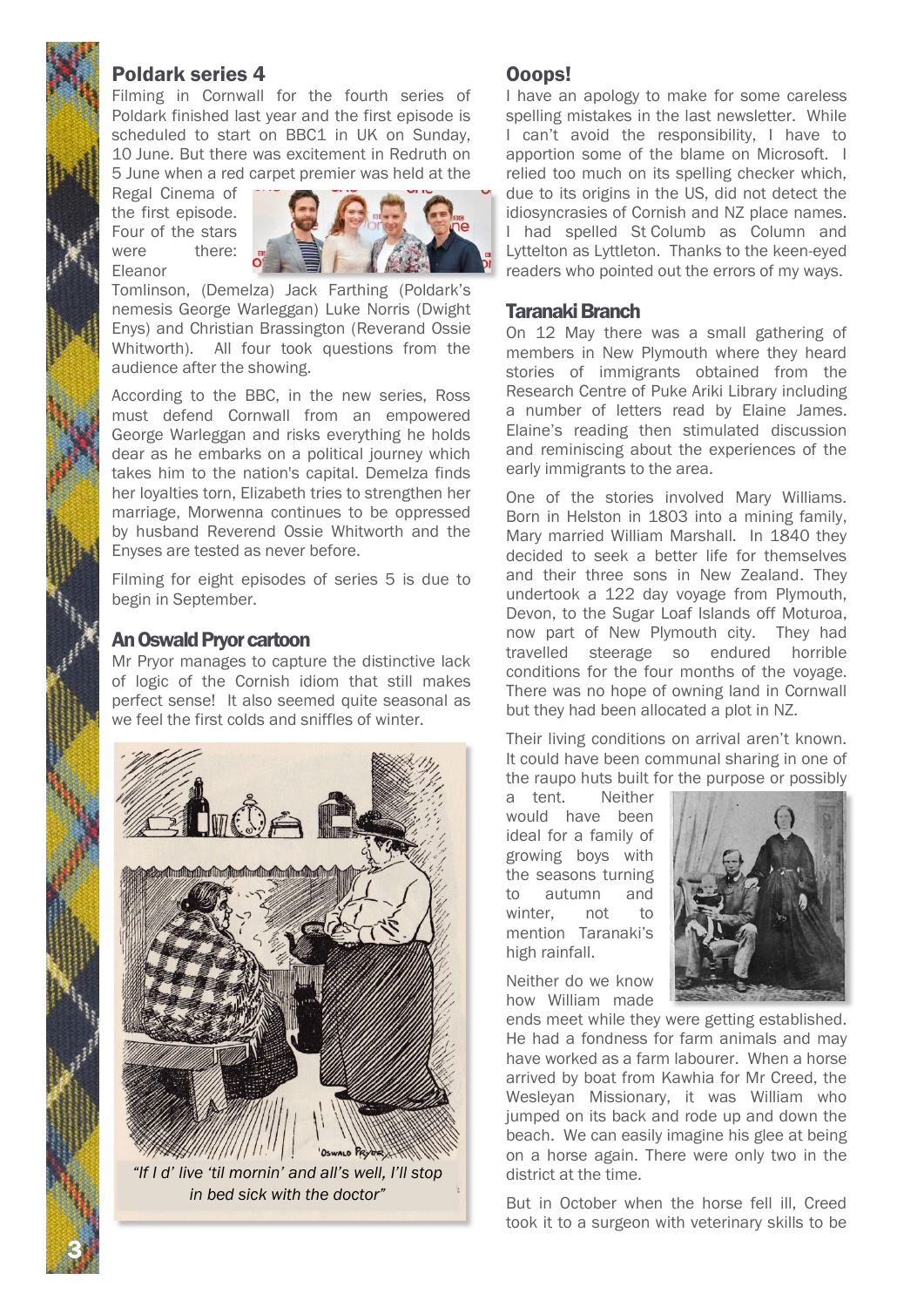# Poldark series 4

Filming in Cornwall for the fourth series of Poldark finished last year and the first episode is scheduled to start on BBC1 in UK on Sunday. 10 June. But there was excitement in Redruth on 5 June when a red carpet premier was held at the

Regal Cinema of the first episode. Four of the stars were there: Eleanor



Tomlinson, (Demelza) Jack Farthing (Poldark's nemesis George Warleggan) Luke Norris (Dwight Enys) and Christian Brassington (Reverand Ossie Whitworth). All four took questions from the audience after the showing.

According to the BBC, in the new series, Ross must defend Cornwall from an empowered George Warleggan and risks everything he holds dear as he embarks on a political journey which takes him to the nation's capital. Demelza finds her loyalties torn, Elizabeth tries to strengthen her marriage, Morwenna continues to be oppressed by husband Reverend Ossie Whitworth and the Enyses are tested as never before.

Filming for eight episodes of series 5 is due to begin in September.

## An Oswald Pryor cartoon

Mr Pryor manages to capture the distinctive lack of logic of the Cornish idiom that still makes perfect sense! It also seemed quite seasonal as we feel the first colds and sniffles of winter.



*"If I d' live 'til mornin' and all's well, I'll stop in bed sick with the doctor"*

3 N

## Ooops!

I have an apology to make for some careless spelling mistakes in the last newsletter. While I can't avoid the responsibility, I have to apportion some of the blame on Microsoft. I relied too much on its spelling checker which, due to its origins in the US, did not detect the idiosyncrasies of Cornish and NZ place names. I had spelled St Columb as Column and Lyttelton as Lyttleton. Thanks to the keen-eyed readers who pointed out the errors of my ways.

### Taranaki Branch

On 12 May there was a small gathering of members in New Plymouth where they heard stories of immigrants obtained from the Research Centre of Puke Ariki Library including a number of letters read by Elaine James. Elaine's reading then stimulated discussion and reminiscing about the experiences of the early immigrants to the area.

One of the stories involved Mary Williams. Born in Helston in 1803 into a mining family, Mary married William Marshall. In 1840 they decided to seek a better life for themselves and their three sons in New Zealand. They undertook a 122 day voyage from Plymouth, Devon, to the Sugar Loaf Islands off Moturoa, now part of New Plymouth city. They had travelled steerage so endured horrible conditions for the four months of the voyage. There was no hope of owning land in Cornwall but they had been allocated a plot in NZ.

Their living conditions on arrival aren't known. It could have been communal sharing in one of the raupo huts built for the purpose or possibly

a tent. Neither would have been ideal for a family of growing boys with the seasons turning to autumn and winter, not to mention Taranaki's high rainfall.



Neither do we know how William made

ends meet while they were getting established. He had a fondness for farm animals and may have worked as a farm labourer. When a horse arrived by boat from Kawhia for Mr Creed, the Wesleyan Missionary, it was William who jumped on its back and rode up and down the beach. We can easily imagine his glee at being on a horse again. There were only two in the district at the time.

But in October when the horse fell ill, Creed took it to a surgeon with veterinary skills to be